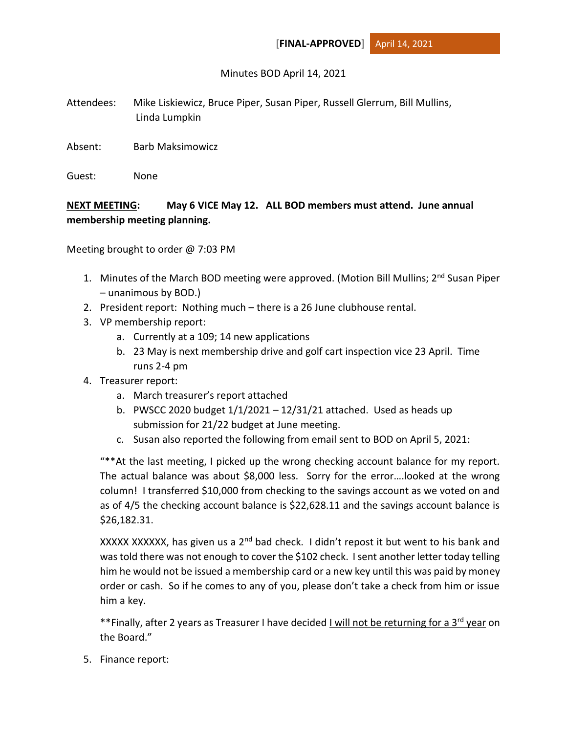## Minutes BOD April 14, 2021

- Attendees: Mike Liskiewicz, Bruce Piper, Susan Piper, Russell Glerrum, Bill Mullins, Linda Lumpkin
- Absent: Barb Maksimowicz
- Guest: None

## **NEXT MEETING: May 6 VICE May 12. ALL BOD members must attend. June annual membership meeting planning.**

Meeting brought to order @ 7:03 PM

- 1. Minutes of the March BOD meeting were approved. (Motion Bill Mullins; 2<sup>nd</sup> Susan Piper – unanimous by BOD.)
- 2. President report: Nothing much there is a 26 June clubhouse rental.
- 3. VP membership report:
	- a. Currently at a 109; 14 new applications
	- b. 23 May is next membership drive and golf cart inspection vice 23 April. Time runs 2-4 pm
- 4. Treasurer report:
	- a. March treasurer's report attached
	- b. PWSCC 2020 budget 1/1/2021 12/31/21 attached. Used as heads up submission for 21/22 budget at June meeting.
	- c. Susan also reported the following from email sent to BOD on April 5, 2021:

"\*\*At the last meeting, I picked up the wrong checking account balance for my report. The actual balance was about \$8,000 less. Sorry for the error….looked at the wrong column! I transferred \$10,000 from checking to the savings account as we voted on and as of 4/5 the checking account balance is \$22,628.11 and the savings account balance is \$26,182.31.

XXXXX XXXXXX, has given us a  $2<sup>nd</sup>$  bad check. I didn't repost it but went to his bank and was told there was not enough to cover the \$102 check. I sent another letter today telling him he would not be issued a membership card or a new key until this was paid by money order or cash. So if he comes to any of you, please don't take a check from him or issue him a key.

\*\*Finally, after 2 years as Treasurer I have decided I will not be returning for a 3<sup>rd</sup> year on the Board."

5. Finance report: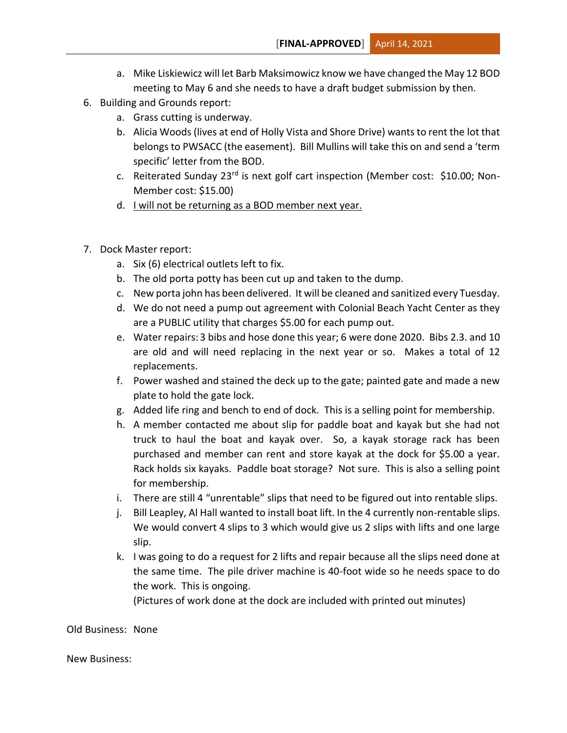- a. Mike Liskiewicz will let Barb Maksimowicz know we have changed the May 12 BOD meeting to May 6 and she needs to have a draft budget submission by then.
- 6. Building and Grounds report:
	- a. Grass cutting is underway.
	- b. Alicia Woods (lives at end of Holly Vista and Shore Drive) wants to rent the lot that belongs to PWSACC (the easement). Bill Mullins will take this on and send a 'term specific' letter from the BOD.
	- c. Reiterated Sunday 23<sup>rd</sup> is next golf cart inspection (Member cost: \$10.00; Non-Member cost: \$15.00)
	- d. I will not be returning as a BOD member next year.
- 7. Dock Master report:
	- a. Six (6) electrical outlets left to fix.
	- b. The old porta potty has been cut up and taken to the dump.
	- c. New porta john has been delivered. It will be cleaned and sanitized every Tuesday.
	- d. We do not need a pump out agreement with Colonial Beach Yacht Center as they are a PUBLIC utility that charges \$5.00 for each pump out.
	- e. Water repairs: 3 bibs and hose done this year; 6 were done 2020. Bibs 2.3. and 10 are old and will need replacing in the next year or so. Makes a total of 12 replacements.
	- f. Power washed and stained the deck up to the gate; painted gate and made a new plate to hold the gate lock.
	- g. Added life ring and bench to end of dock. This is a selling point for membership.
	- h. A member contacted me about slip for paddle boat and kayak but she had not truck to haul the boat and kayak over. So, a kayak storage rack has been purchased and member can rent and store kayak at the dock for \$5.00 a year. Rack holds six kayaks. Paddle boat storage? Not sure. This is also a selling point for membership.
	- i. There are still 4 "unrentable" slips that need to be figured out into rentable slips.
	- j. Bill Leapley, Al Hall wanted to install boat lift. In the 4 currently non-rentable slips. We would convert 4 slips to 3 which would give us 2 slips with lifts and one large slip.
	- k. I was going to do a request for 2 lifts and repair because all the slips need done at the same time. The pile driver machine is 40-foot wide so he needs space to do the work. This is ongoing.

(Pictures of work done at the dock are included with printed out minutes)

Old Business: None

New Business: